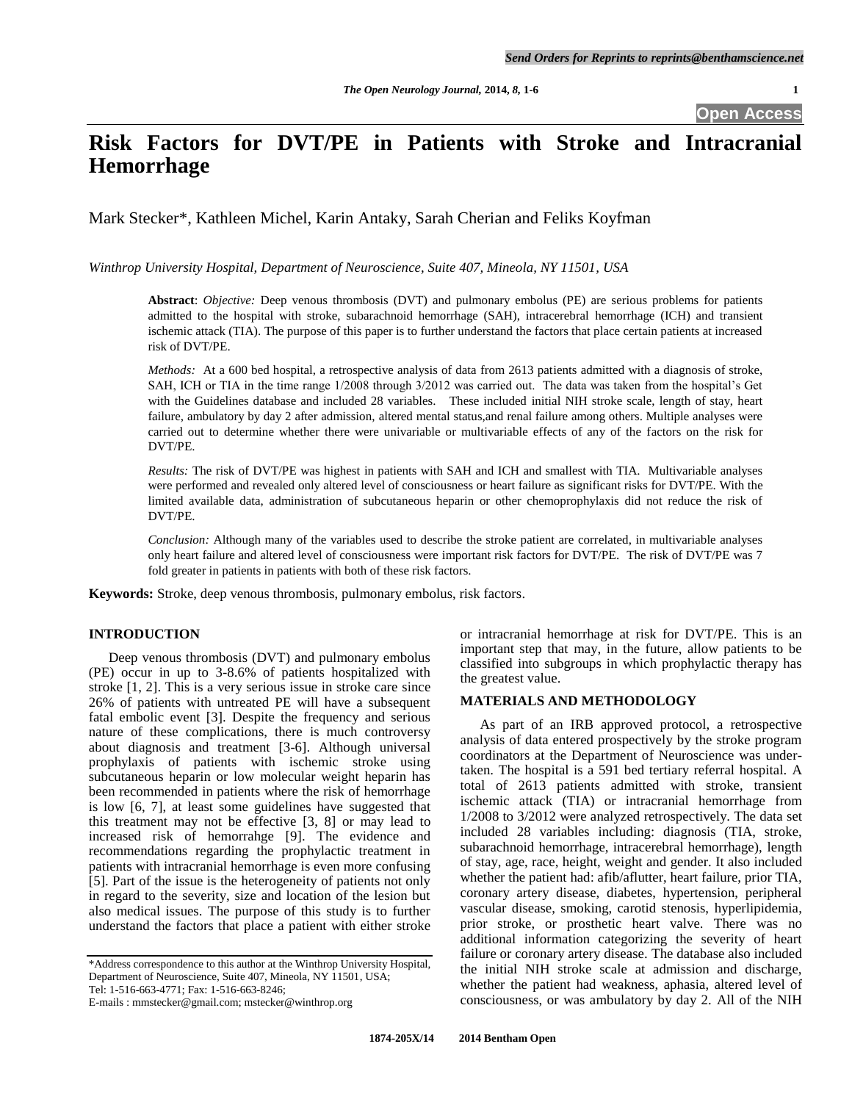# **Risk Factors for DVT/PE in Patients with Stroke and Intracranial Hemorrhage**

Mark Stecker\*, Kathleen Michel, Karin Antaky, Sarah Cherian and Feliks Koyfman

*Winthrop University Hospital, Department of Neuroscience, Suite 407, Mineola, NY 11501, USA* 

**Abstract**: *Objective:* Deep venous thrombosis (DVT) and pulmonary embolus (PE) are serious problems for patients admitted to the hospital with stroke, subarachnoid hemorrhage (SAH), intracerebral hemorrhage (ICH) and transient ischemic attack (TIA). The purpose of this paper is to further understand the factors that place certain patients at increased risk of DVT/PE.

*Methods:* At a 600 bed hospital, a retrospective analysis of data from 2613 patients admitted with a diagnosis of stroke, SAH, ICH or TIA in the time range 1/2008 through 3/2012 was carried out. The data was taken from the hospital's Get with the Guidelines database and included 28 variables. These included initial NIH stroke scale, length of stay, heart failure, ambulatory by day 2 after admission, altered mental status,and renal failure among others. Multiple analyses were carried out to determine whether there were univariable or multivariable effects of any of the factors on the risk for DVT/PE.

*Results:* The risk of DVT/PE was highest in patients with SAH and ICH and smallest with TIA. Multivariable analyses were performed and revealed only altered level of consciousness or heart failure as significant risks for DVT/PE. With the limited available data, administration of subcutaneous heparin or other chemoprophylaxis did not reduce the risk of DVT/PE.

*Conclusion:* Although many of the variables used to describe the stroke patient are correlated, in multivariable analyses only heart failure and altered level of consciousness were important risk factors for DVT/PE. The risk of DVT/PE was 7 fold greater in patients in patients with both of these risk factors.

**Keywords:** Stroke, deep venous thrombosis, pulmonary embolus, risk factors.

## **INTRODUCTION**

 Deep venous thrombosis (DVT) and pulmonary embolus (PE) occur in up to 3-8.6% of patients hospitalized with stroke [1, 2]. This is a very serious issue in stroke care since 26% of patients with untreated PE will have a subsequent fatal embolic event [3]. Despite the frequency and serious nature of these complications, there is much controversy about diagnosis and treatment [3-6]. Although universal prophylaxis of patients with ischemic stroke using subcutaneous heparin or low molecular weight heparin has been recommended in patients where the risk of hemorrhage is low [6, 7], at least some guidelines have suggested that this treatment may not be effective [3, 8] or may lead to increased risk of hemorrahge [9]. The evidence and recommendations regarding the prophylactic treatment in patients with intracranial hemorrhage is even more confusing [5]. Part of the issue is the heterogeneity of patients not only in regard to the severity, size and location of the lesion but also medical issues. The purpose of this study is to further understand the factors that place a patient with either stroke

E-mails : mmstecker@gmail.com; mstecker@winthrop.org

or intracranial hemorrhage at risk for DVT/PE. This is an important step that may, in the future, allow patients to be classified into subgroups in which prophylactic therapy has the greatest value.

### **MATERIALS AND METHODOLOGY**

 As part of an IRB approved protocol, a retrospective analysis of data entered prospectively by the stroke program coordinators at the Department of Neuroscience was undertaken. The hospital is a 591 bed tertiary referral hospital. A total of 2613 patients admitted with stroke, transient ischemic attack (TIA) or intracranial hemorrhage from 1/2008 to 3/2012 were analyzed retrospectively. The data set included 28 variables including: diagnosis (TIA, stroke, subarachnoid hemorrhage, intracerebral hemorrhage), length of stay, age, race, height, weight and gender. It also included whether the patient had: afib/aflutter, heart failure, prior TIA, coronary artery disease, diabetes, hypertension, peripheral vascular disease, smoking, carotid stenosis, hyperlipidemia, prior stroke, or prosthetic heart valve. There was no additional information categorizing the severity of heart failure or coronary artery disease. The database also included the initial NIH stroke scale at admission and discharge, whether the patient had weakness, aphasia, altered level of consciousness, or was ambulatory by day 2. All of the NIH

<sup>\*</sup>Address correspondence to this author at the Winthrop University Hospital, Department of Neuroscience, Suite 407, Mineola, NY 11501, USA; Tel: 1-516-663-4771; Fax: 1-516-663-8246;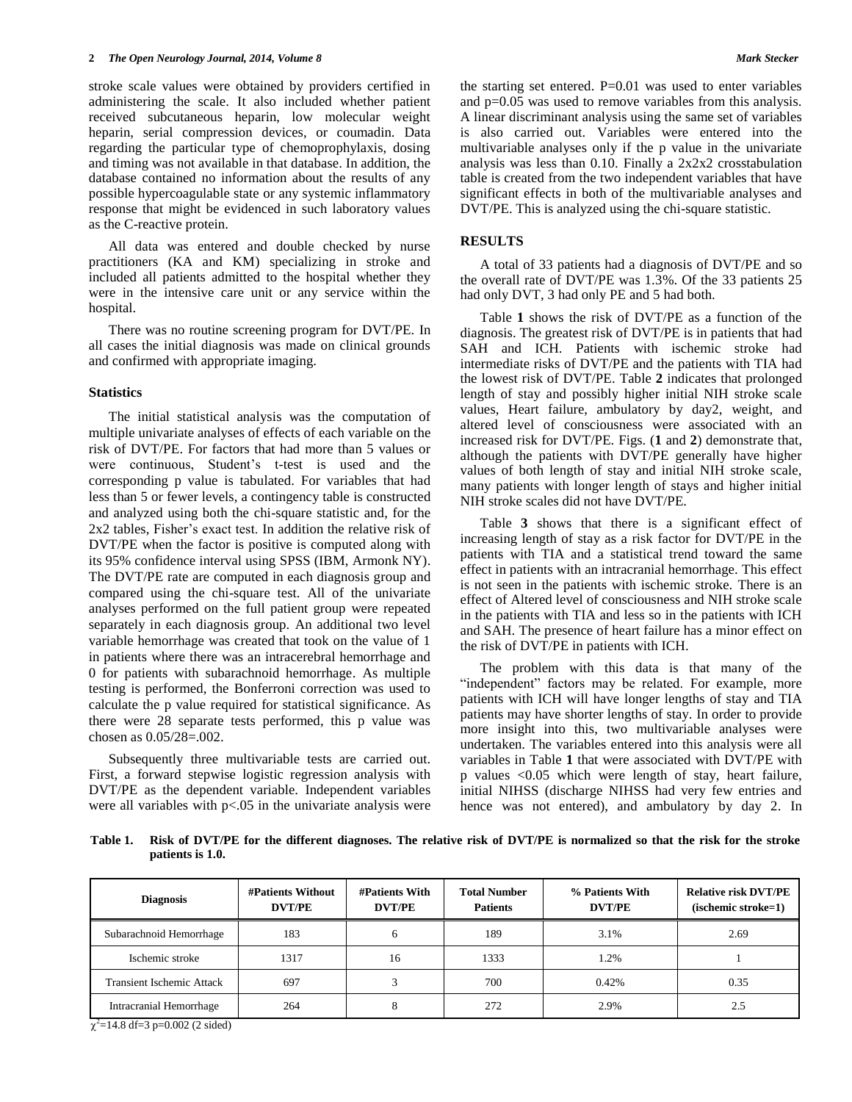stroke scale values were obtained by providers certified in administering the scale. It also included whether patient received subcutaneous heparin, low molecular weight heparin, serial compression devices, or coumadin. Data regarding the particular type of chemoprophylaxis, dosing and timing was not available in that database. In addition, the database contained no information about the results of any possible hypercoagulable state or any systemic inflammatory response that might be evidenced in such laboratory values as the C-reactive protein.

 All data was entered and double checked by nurse practitioners (KA and KM) specializing in stroke and included all patients admitted to the hospital whether they were in the intensive care unit or any service within the hospital.

 There was no routine screening program for DVT/PE. In all cases the initial diagnosis was made on clinical grounds and confirmed with appropriate imaging.

#### **Statistics**

 The initial statistical analysis was the computation of multiple univariate analyses of effects of each variable on the risk of DVT/PE. For factors that had more than 5 values or were continuous, Student's t-test is used and the corresponding p value is tabulated. For variables that had less than 5 or fewer levels, a contingency table is constructed and analyzed using both the chi-square statistic and, for the 2x2 tables, Fisher's exact test. In addition the relative risk of DVT/PE when the factor is positive is computed along with its 95% confidence interval using SPSS (IBM, Armonk NY). The DVT/PE rate are computed in each diagnosis group and compared using the chi-square test. All of the univariate analyses performed on the full patient group were repeated separately in each diagnosis group. An additional two level variable hemorrhage was created that took on the value of 1 in patients where there was an intracerebral hemorrhage and 0 for patients with subarachnoid hemorrhage. As multiple testing is performed, the Bonferroni correction was used to calculate the p value required for statistical significance. As there were 28 separate tests performed, this p value was chosen as 0.05/28=.002.

 Subsequently three multivariable tests are carried out. First, a forward stepwise logistic regression analysis with DVT/PE as the dependent variable. Independent variables were all variables with  $p<0.05$  in the univariate analysis were the starting set entered.  $P=0.01$  was used to enter variables and p=0.05 was used to remove variables from this analysis. A linear discriminant analysis using the same set of variables is also carried out. Variables were entered into the multivariable analyses only if the p value in the univariate analysis was less than 0.10. Finally a 2x2x2 crosstabulation table is created from the two independent variables that have significant effects in both of the multivariable analyses and DVT/PE. This is analyzed using the chi-square statistic.

### **RESULTS**

 A total of 33 patients had a diagnosis of DVT/PE and so the overall rate of DVT/PE was 1.3%. Of the 33 patients 25 had only DVT, 3 had only PE and 5 had both.

Table **1** shows the risk of DVT/PE as a function of the diagnosis. The greatest risk of DVT/PE is in patients that had SAH and ICH. Patients with ischemic stroke had intermediate risks of DVT/PE and the patients with TIA had the lowest risk of DVT/PE. Table **2** indicates that prolonged length of stay and possibly higher initial NIH stroke scale values, Heart failure, ambulatory by day2, weight, and altered level of consciousness were associated with an increased risk for DVT/PE. Figs. (**1** and **2**) demonstrate that, although the patients with DVT/PE generally have higher values of both length of stay and initial NIH stroke scale, many patients with longer length of stays and higher initial NIH stroke scales did not have DVT/PE.

 Table **3** shows that there is a significant effect of increasing length of stay as a risk factor for DVT/PE in the patients with TIA and a statistical trend toward the same effect in patients with an intracranial hemorrhage. This effect is not seen in the patients with ischemic stroke. There is an effect of Altered level of consciousness and NIH stroke scale in the patients with TIA and less so in the patients with ICH and SAH. The presence of heart failure has a minor effect on the risk of DVT/PE in patients with ICH.

 The problem with this data is that many of the "independent" factors may be related. For example, more patients with ICH will have longer lengths of stay and TIA patients may have shorter lengths of stay. In order to provide more insight into this, two multivariable analyses were undertaken. The variables entered into this analysis were all variables in Table **1** that were associated with DVT/PE with p values <0.05 which were length of stay, heart failure, initial NIHSS (discharge NIHSS had very few entries and hence was not entered), and ambulatory by day 2. In

**Table 1. Risk of DVT/PE for the different diagnoses. The relative risk of DVT/PE is normalized so that the risk for the stroke patients is 1.0.**

| <b>Diagnosis</b>                 | <b>#Patients Without</b><br><b>DVT/PE</b> | <b>#Patients With</b><br><b>DVT/PE</b> | <b>Total Number</b><br><b>Patients</b> | % Patients With<br><b>DVT/PE</b> | <b>Relative risk DVT/PE</b><br>(ischemic stroke=1) |
|----------------------------------|-------------------------------------------|----------------------------------------|----------------------------------------|----------------------------------|----------------------------------------------------|
| Subarachnoid Hemorrhage          | 183                                       |                                        | 189                                    | 3.1%                             | 2.69                                               |
| Ischemic stroke                  | 1317                                      | 16                                     | 1333                                   | 1.2%                             |                                                    |
| <b>Transient Ischemic Attack</b> | 697                                       |                                        | 700                                    | 0.42%                            | 0.35                                               |
| Intracranial Hemorrhage          | 264                                       |                                        | 272                                    | 2.9%                             | 2.5                                                |

 $\chi^2$ =14.8 df=3 p=0.002 (2 sided)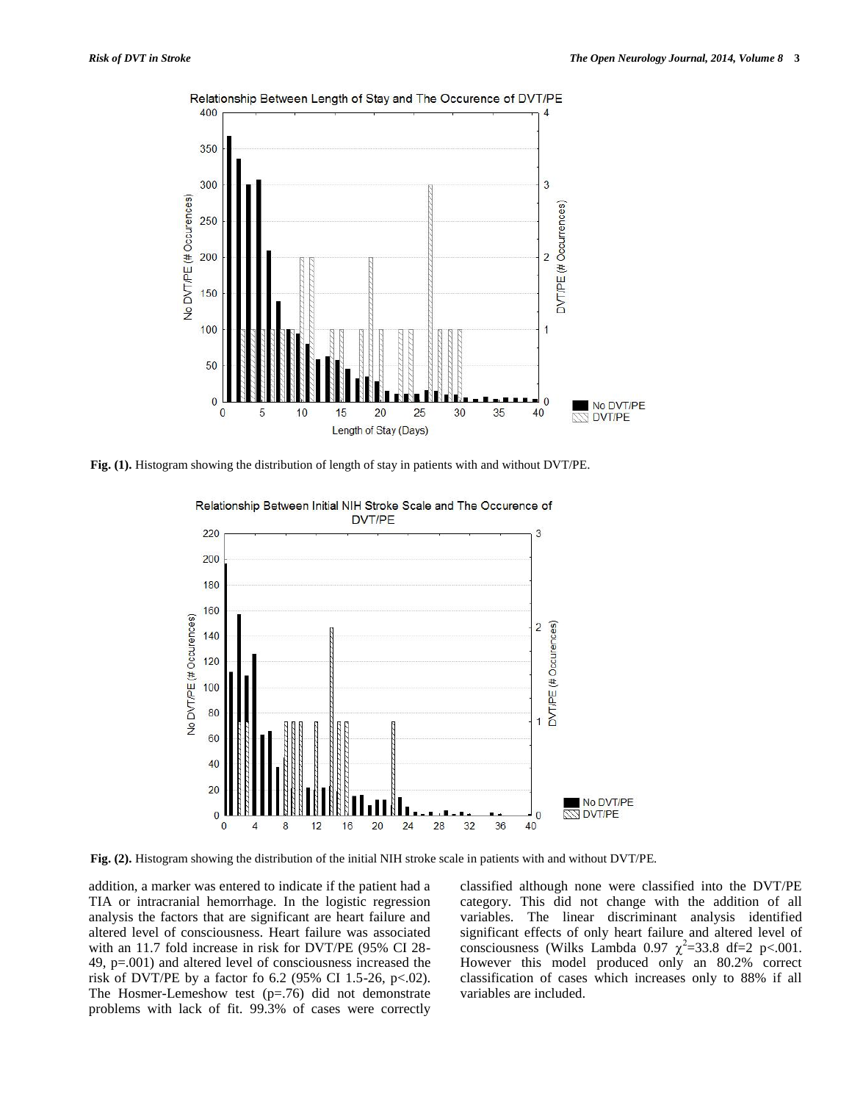

Relationship Between Length of Stay and The Occurence of DVT/PE

**Fig. (1).** Histogram showing the distribution of length of stay in patients with and without DVT/PE.



Relationship Between Initial NIH Stroke Scale and The Occurence of

**Fig. (2).** Histogram showing the distribution of the initial NIH stroke scale in patients with and without DVT/PE.

addition, a marker was entered to indicate if the patient had a TIA or intracranial hemorrhage. In the logistic regression analysis the factors that are significant are heart failure and altered level of consciousness. Heart failure was associated with an 11.7 fold increase in risk for DVT/PE (95% CI 28- 49, p=.001) and altered level of consciousness increased the risk of DVT/PE by a factor fo 6.2 (95% CI 1.5-26, p<.02). The Hosmer-Lemeshow test (p=.76) did not demonstrate problems with lack of fit. 99.3% of cases were correctly classified although none were classified into the DVT/PE category. This did not change with the addition of all variables. The linear discriminant analysis identified significant effects of only heart failure and altered level of consciousness (Wilks Lambda 0.97  $\chi^2$ =33.8 df=2 p<.001. However this model produced only an 80.2% correct classification of cases which increases only to 88% if all variables are included.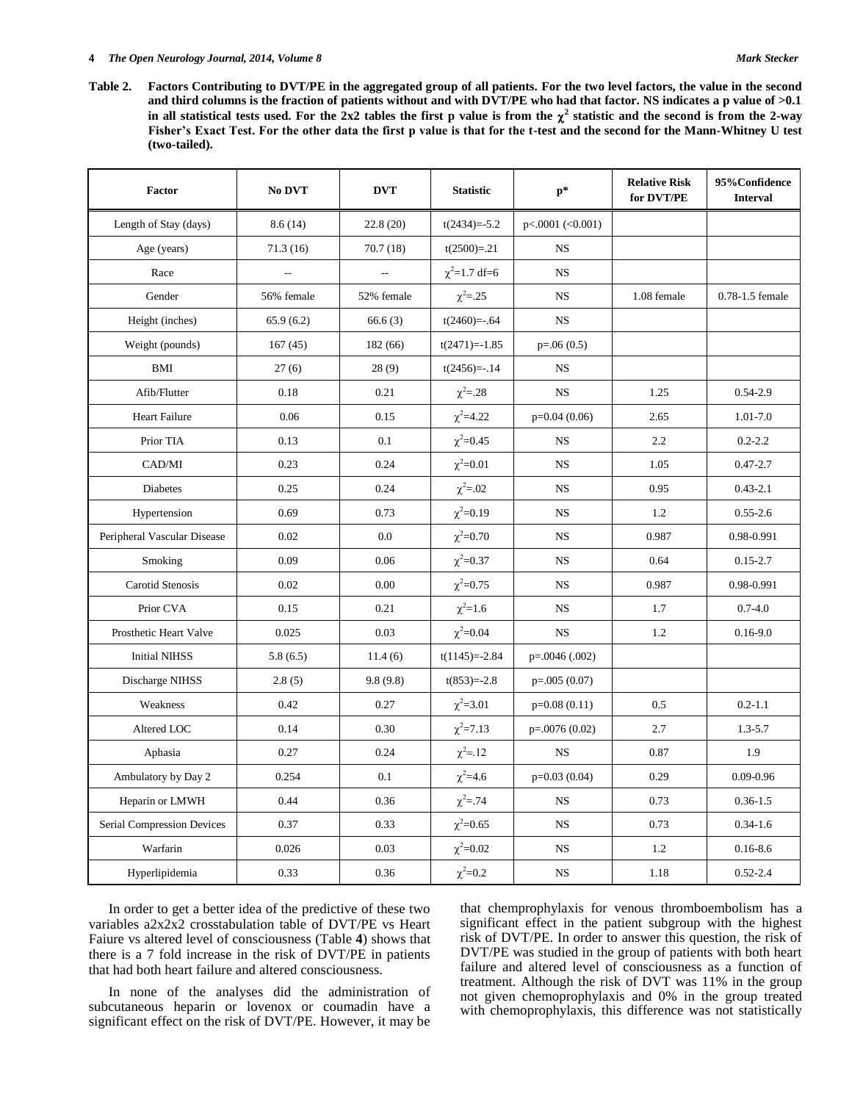#### **4** *The Open Neurology Journal, 2014, Volume 8* **Mark Stecker** *Mark Stecker**Mark Stecker**Mark Stecker*

**Table 2. Factors Contributing to DVT/PE in the aggregated group of all patients. For the two level factors, the value in the second and third columns is the fraction of patients without and with DVT/PE who had that factor. NS indicates a p value of >0.1**  in all statistical tests used. For the 2x2 tables the first p value is from the  $\chi^2$  statistic and the second is from the 2-way **Fisher's Exact Test. For the other data the first p value is that for the t-test and the second for the Mann-Whitney U test (two-tailed).** 

| Factor                      | No DVT         | <b>DVT</b> | <b>Statistic</b>   | $p*$               | <b>Relative Risk</b><br>for DVT/PE | 95%Confidence<br><b>Interval</b> |
|-----------------------------|----------------|------------|--------------------|--------------------|------------------------------------|----------------------------------|
| Length of Stay (days)       | 8.6(14)        | 22.8 (20)  | $t(2434)=-5.2$     | $p<.0001$ (<0.001) |                                    |                                  |
| Age (years)                 | 71.3(16)       | 70.7(18)   | $t(2500)=0.21$     | <b>NS</b>          |                                    |                                  |
| Race                        | $\overline{a}$ | $\sim$     | $\chi^2$ =1.7 df=6 | <b>NS</b>          |                                    |                                  |
| Gender                      | 56% female     | 52% female | $\chi^2 = .25$     | <b>NS</b>          | 1.08 female                        | 0.78-1.5 female                  |
| Height (inches)             | 65.9(6.2)      | 66.6(3)    | $t(2460)=-.64$     | <b>NS</b>          |                                    |                                  |
| Weight (pounds)             | 167(45)        | 182 (66)   | $t(2471)=-1.85$    | $p=.06(0.5)$       |                                    |                                  |
| <b>BMI</b>                  | 27(6)          | 28(9)      | $t(2456)=-14$      | <b>NS</b>          |                                    |                                  |
| Afib/Flutter                | 0.18           | 0.21       | $\chi^2 = 28$      | <b>NS</b>          | 1.25                               | $0.54 - 2.9$                     |
| <b>Heart Failure</b>        | 0.06           | 0.15       | $\chi^2 = 4.22$    | $p=0.04(0.06)$     | 2.65                               | 1.01-7.0                         |
| Prior TIA                   | 0.13           | 0.1        | $\chi^2 = 0.45$    | <b>NS</b>          | 2.2                                | $0.2 - 2.2$                      |
| CAD/MI                      | 0.23           | 0.24       | $\chi^2 = 0.01$    | <b>NS</b>          | 1.05                               | $0.47 - 2.7$                     |
| Diabetes                    | 0.25           | 0.24       | $\chi^2 = .02$     | <b>NS</b>          | 0.95                               | $0.43 - 2.1$                     |
| Hypertension                | 0.69           | 0.73       | $\chi^2 = 0.19$    | <b>NS</b>          | 1.2                                | $0.55 - 2.6$                     |
| Peripheral Vascular Disease | 0.02           | 0.0        | $\chi^2 = 0.70$    | <b>NS</b>          | 0.987                              | 0.98-0.991                       |
| Smoking                     | 0.09           | 0.06       | $\chi^2 = 0.37$    | <b>NS</b>          | 0.64                               | $0.15 - 2.7$                     |
| Carotid Stenosis            | 0.02           | 0.00       | $\chi^2 = 0.75$    | <b>NS</b>          | 0.987                              | 0.98-0.991                       |
| Prior CVA                   | 0.15           | 0.21       | $\chi^2 = 1.6$     | <b>NS</b>          | 1.7                                | $0.7 - 4.0$                      |
| Prosthetic Heart Valve      | 0.025          | 0.03       | $\chi^2 = 0.04$    | <b>NS</b>          | 1.2                                | $0.16 - 9.0$                     |
| <b>Initial NIHSS</b>        | 5.8(6.5)       | 11.4(6)    | $t(1145)=-2.84$    | $p=.0046(.002)$    |                                    |                                  |
| Discharge NIHSS             | 2.8(5)         | 9.8(9.8)   | $t(853)=-2.8$      | $p=.005(0.07)$     |                                    |                                  |
| Weakness                    | 0.42           | 0.27       | $\chi^2 = 3.01$    | $p=0.08(0.11)$     | 0.5                                | $0.2 - 1.1$                      |
| Altered LOC                 | 0.14           | 0.30       | $\chi^2 = 7.13$    | $p=.0076(0.02)$    | 2.7                                | $1.3 - 5.7$                      |
| Aphasia                     | 0.27           | 0.24       | $\chi^2 = .12$     | <b>NS</b>          | 0.87                               | 1.9                              |
| Ambulatory by Day 2         | 0.254          | 0.1        | $\chi^2 = 4.6$     | $p=0.03(0.04)$     | 0.29                               | $0.09 - 0.96$                    |
| Heparin or LMWH             | 0.44           | 0.36       | $\chi^2 = .74$     | <b>NS</b>          | 0.73                               | $0.36 - 1.5$                     |
| Serial Compression Devices  | 0.37           | 0.33       | $\chi^2 = 0.65$    | <b>NS</b>          | 0.73                               | $0.34 - 1.6$                     |
| Warfarin                    | 0.026          | 0.03       | $\chi^2 = 0.02$    | <b>NS</b>          | 1.2                                | $0.16 - 8.6$                     |
| Hyperlipidemia              | 0.33           | 0.36       | $\chi^2 = 0.2$     | <b>NS</b>          | 1.18                               | $0.52 - 2.4$                     |

 In order to get a better idea of the predictive of these two variables a2x2x2 crosstabulation table of DVT/PE vs Heart Faiure vs altered level of consciousness (Table **4**) shows that there is a 7 fold increase in the risk of DVT/PE in patients that had both heart failure and altered consciousness.

 In none of the analyses did the administration of subcutaneous heparin or lovenox or coumadin have a significant effect on the risk of DVT/PE. However, it may be that chemprophylaxis for venous thromboembolism has a significant effect in the patient subgroup with the highest risk of DVT/PE. In order to answer this question, the risk of DVT/PE was studied in the group of patients with both heart failure and altered level of consciousness as a function of treatment. Although the risk of DVT was 11% in the group not given chemoprophylaxis and 0% in the group treated with chemoprophylaxis, this difference was not statistically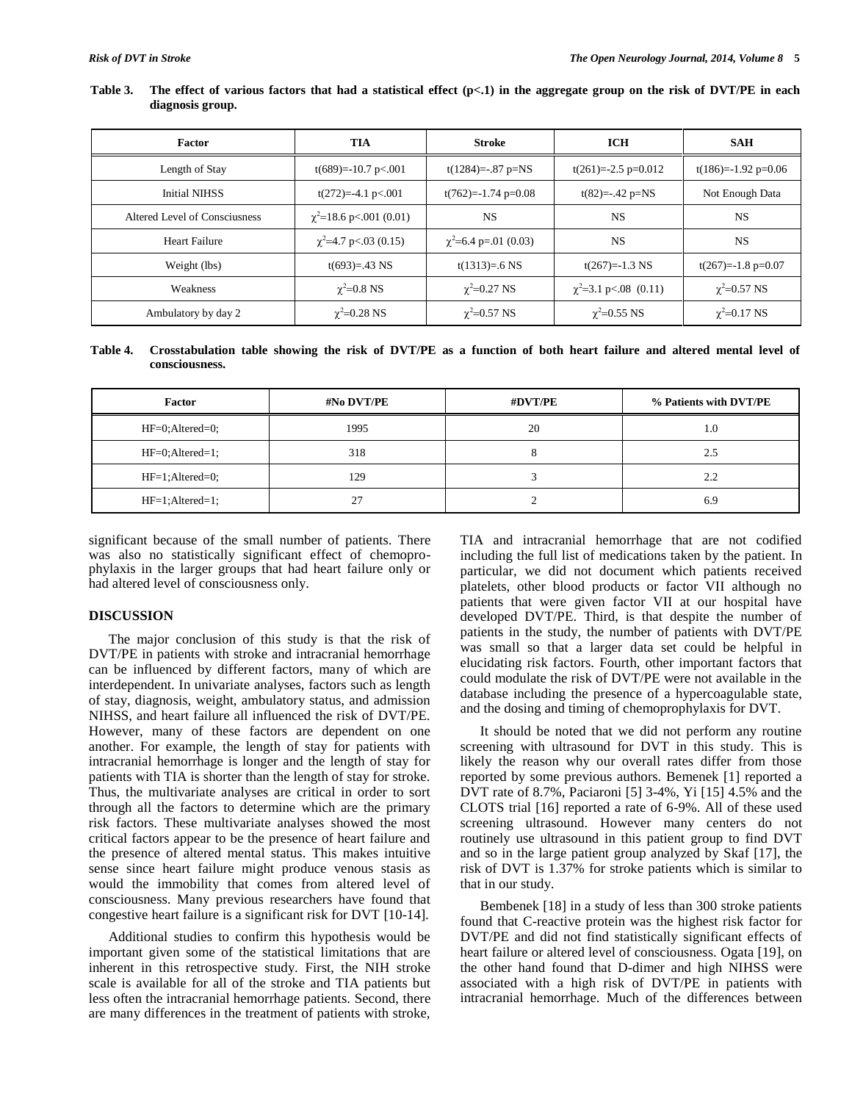| Factor                        | TIA                              | <b>Stroke</b>              | <b>ICH</b>                 | <b>SAH</b>            |
|-------------------------------|----------------------------------|----------------------------|----------------------------|-----------------------|
| Length of Stay                | $t(689)=-10.7 \text{ p} < 0.001$ | $t(1284) = -0.87$ p=NS     | $t(261)=-2.5$ p=0.012      | $t(186)=-1.92$ p=0.06 |
| <b>Initial NIHSS</b>          | $t(272)=-4.1$ p<.001             | $t(762)=-1.74$ p=0.08      | $t(82) = -0.42$ p=NS       | Not Enough Data       |
| Altered Level of Consciusness | $\chi^2$ =18.6 p<.001 (0.01)     | <b>NS</b>                  | <b>NS</b>                  | <b>NS</b>             |
| Heart Failure                 | $\chi^2$ =4.7 p<.03 (0.15)       | $\chi^2$ =6.4 p=.01 (0.03) | <b>NS</b>                  | <b>NS</b>             |
| Weight (lbs)                  | $t(693)=.43$ NS                  | $t(1313)=.6$ NS            | $t(267)=-1.3$ NS           | $t(267)=-1.8$ p=0.07  |
| Weakness                      | $\gamma^2 = 0.8$ NS              | $\gamma^2 = 0.27$ NS       | $\chi^2$ =3.1 p<.08 (0.11) | $\chi^2$ =0.57 NS     |
| Ambulatory by day 2           | $\gamma^2 = 0.28$ NS             | $\chi^2$ =0.57 NS          | $\chi^2$ =0.55 NS          | $\chi^2$ =0.17 NS     |

**Table 3. The effect of various factors that had a statistical effect (p<.1) in the aggregate group on the risk of DVT/PE in each diagnosis group.**

**Table 4. Crosstabulation table showing the risk of DVT/PE as a function of both heart failure and altered mental level of consciousness.** 

| Factor              | #No DVT/PE | #DVT/PE | % Patients with DVT/PE |
|---------------------|------------|---------|------------------------|
| $HF=0$ ; Altered=0; | 1995       | 20      | 1.0                    |
| $HF=0$ ; Altered=1; | 318        |         | 2.5                    |
| $HF=1$ : Altered=0; | 129        |         | 2.2                    |
| $HF=1$ ; Altered=1; | 27         |         | 6.9                    |

significant because of the small number of patients. There was also no statistically significant effect of chemoprophylaxis in the larger groups that had heart failure only or had altered level of consciousness only.

### **DISCUSSION**

 The major conclusion of this study is that the risk of DVT/PE in patients with stroke and intracranial hemorrhage can be influenced by different factors, many of which are interdependent. In univariate analyses, factors such as length of stay, diagnosis, weight, ambulatory status, and admission NIHSS, and heart failure all influenced the risk of DVT/PE. However, many of these factors are dependent on one another. For example, the length of stay for patients with intracranial hemorrhage is longer and the length of stay for patients with TIA is shorter than the length of stay for stroke. Thus, the multivariate analyses are critical in order to sort through all the factors to determine which are the primary risk factors. These multivariate analyses showed the most critical factors appear to be the presence of heart failure and the presence of altered mental status. This makes intuitive sense since heart failure might produce venous stasis as would the immobility that comes from altered level of consciousness. Many previous researchers have found that congestive heart failure is a significant risk for DVT [10-14].

 Additional studies to confirm this hypothesis would be important given some of the statistical limitations that are inherent in this retrospective study. First, the NIH stroke scale is available for all of the stroke and TIA patients but less often the intracranial hemorrhage patients. Second, there are many differences in the treatment of patients with stroke,

TIA and intracranial hemorrhage that are not codified including the full list of medications taken by the patient. In particular, we did not document which patients received platelets, other blood products or factor VII although no patients that were given factor VII at our hospital have developed DVT/PE. Third, is that despite the number of patients in the study, the number of patients with DVT/PE was small so that a larger data set could be helpful in elucidating risk factors. Fourth, other important factors that could modulate the risk of DVT/PE were not available in the database including the presence of a hypercoagulable state, and the dosing and timing of chemoprophylaxis for DVT.

 It should be noted that we did not perform any routine screening with ultrasound for DVT in this study. This is likely the reason why our overall rates differ from those reported by some previous authors. Bemenek [1] reported a DVT rate of 8.7%, Paciaroni [5] 3-4%, Yi [15] 4.5% and the CLOTS trial [16] reported a rate of 6-9%. All of these used screening ultrasound. However many centers do not routinely use ultrasound in this patient group to find DVT and so in the large patient group analyzed by Skaf [17], the risk of DVT is 1.37% for stroke patients which is similar to that in our study.

 Bembenek [18] in a study of less than 300 stroke patients found that C-reactive protein was the highest risk factor for DVT/PE and did not find statistically significant effects of heart failure or altered level of consciousness. Ogata [19], on the other hand found that D-dimer and high NIHSS were associated with a high risk of DVT/PE in patients with intracranial hemorrhage. Much of the differences between